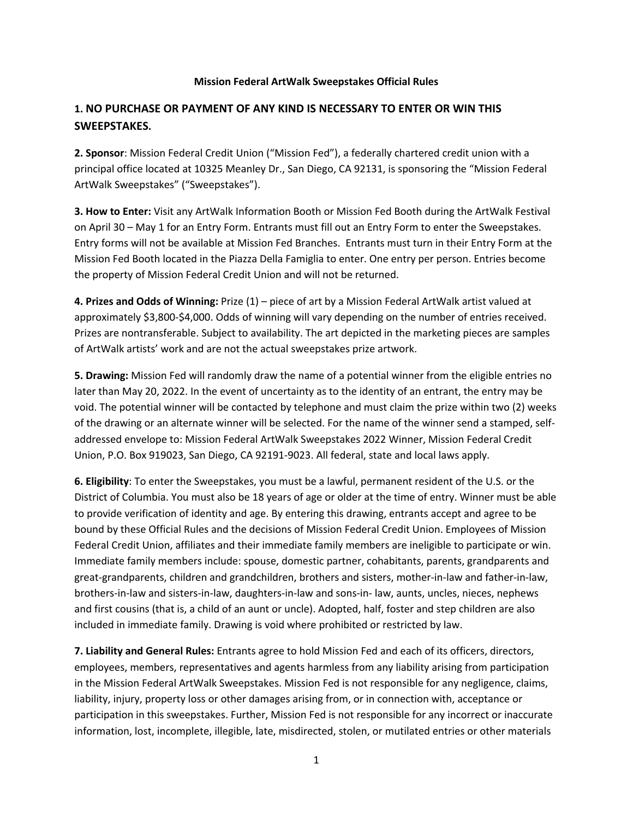## **Mission Federal ArtWalk Sweepstakes Official Rules**

## **1. NO PURCHASE OR PAYMENT OF ANY KIND IS NECESSARY TO ENTER OR WIN THIS SWEEPSTAKES.**

**2. Sponsor**: Mission Federal Credit Union ("Mission Fed"), a federally chartered credit union with a principal office located at 10325 Meanley Dr., San Diego, CA 92131, is sponsoring the "Mission Federal ArtWalk Sweepstakes" ("Sweepstakes").

**3. How to Enter:** Visit any ArtWalk Information Booth or Mission Fed Booth during the ArtWalk Festival on April 30 – May 1 for an Entry Form. Entrants must fill out an Entry Form to enter the Sweepstakes. Entry forms will not be available at Mission Fed Branches. Entrants must turn in their Entry Form at the Mission Fed Booth located in the Piazza Della Famiglia to enter. One entry per person. Entries become the property of Mission Federal Credit Union and will not be returned.

**4. Prizes and Odds of Winning:** Prize (1) – piece of art by a Mission Federal ArtWalk artist valued at approximately \$3,800-\$4,000. Odds of winning will vary depending on the number of entries received. Prizes are nontransferable. Subject to availability. The art depicted in the marketing pieces are samples of ArtWalk artists' work and are not the actual sweepstakes prize artwork.

**5. Drawing:** Mission Fed will randomly draw the name of a potential winner from the eligible entries no later than May 20, 2022. In the event of uncertainty as to the identity of an entrant, the entry may be void. The potential winner will be contacted by telephone and must claim the prize within two (2) weeks of the drawing or an alternate winner will be selected. For the name of the winner send a stamped, selfaddressed envelope to: Mission Federal ArtWalk Sweepstakes 2022 Winner, Mission Federal Credit Union, P.O. Box 919023, San Diego, CA 92191-9023. All federal, state and local laws apply.

**6. Eligibility**: To enter the Sweepstakes, you must be a lawful, permanent resident of the U.S. or the District of Columbia. You must also be 18 years of age or older at the time of entry. Winner must be able to provide verification of identity and age. By entering this drawing, entrants accept and agree to be bound by these Official Rules and the decisions of Mission Federal Credit Union. Employees of Mission Federal Credit Union, affiliates and their immediate family members are ineligible to participate or win. Immediate family members include: spouse, domestic partner, cohabitants, parents, grandparents and great-grandparents, children and grandchildren, brothers and sisters, mother-in-law and father-in-law, brothers-in-law and sisters-in-law, daughters-in-law and sons-in- law, aunts, uncles, nieces, nephews and first cousins (that is, a child of an aunt or uncle). Adopted, half, foster and step children are also included in immediate family. Drawing is void where prohibited or restricted by law.

**7. Liability and General Rules:** Entrants agree to hold Mission Fed and each of its officers, directors, employees, members, representatives and agents harmless from any liability arising from participation in the Mission Federal ArtWalk Sweepstakes. Mission Fed is not responsible for any negligence, claims, liability, injury, property loss or other damages arising from, or in connection with, acceptance or participation in this sweepstakes. Further, Mission Fed is not responsible for any incorrect or inaccurate information, lost, incomplete, illegible, late, misdirected, stolen, or mutilated entries or other materials